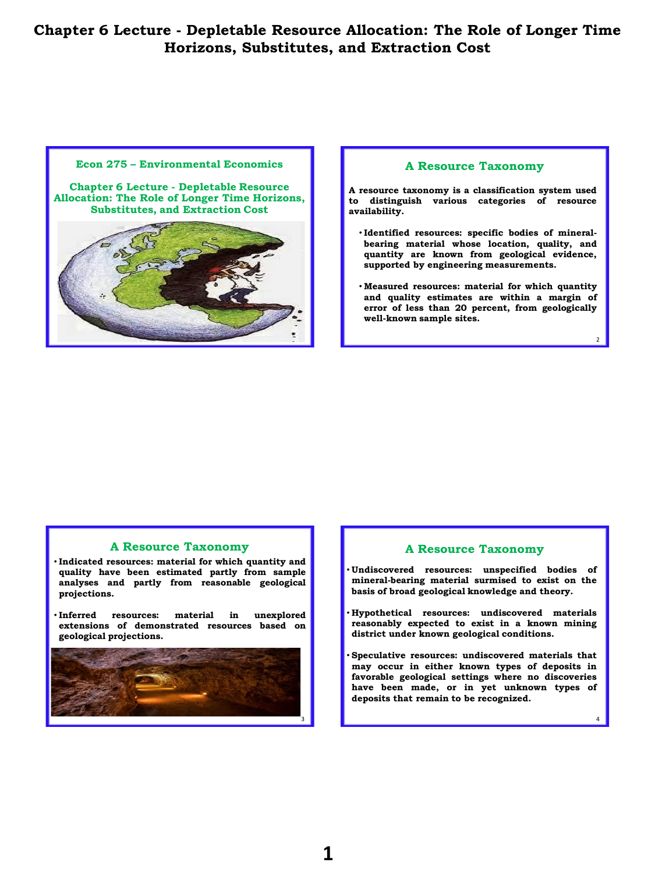#### **Econ 275 – Environmental Economics**

**Chapter 6 Lecture - Depletable Resource Allocation: The Role of Longer Time Horizons, Substitutes, and Extraction Cost**



#### **A Resource Taxonomy**

**A resource taxonomy is a classification system used to distinguish various categories of resource availability.**

- **Identified resources: specific bodies of mineralbearing material whose location, quality, and quantity are known from geological evidence, supported by engineering measurements.**
- **Measured resources: material for which quantity and quality estimates are within a margin of error of less than 20 percent, from geologically well-known sample sites.**

 $\overline{2}$ 

4

#### **A Resource Taxonomy**

• **Indicated resources: material for which quantity and quality have been estimated partly from sample analyses and partly from reasonable geological projections.**

• **Inferred resources: material in unexplored extensions of demonstrated resources based on geological projections.**



#### **A Resource Taxonomy**

- **Undiscovered resources: unspecified bodies of mineral-bearing material surmised to exist on the basis of broad geological knowledge and theory.**
- **Hypothetical resources: undiscovered materials reasonably expected to exist in a known mining district under known geological conditions.**
- **Speculative resources: undiscovered materials that may occur in either known types of deposits in favorable geological settings where no discoveries have been made, or in yet unknown types of deposits that remain to be recognized.**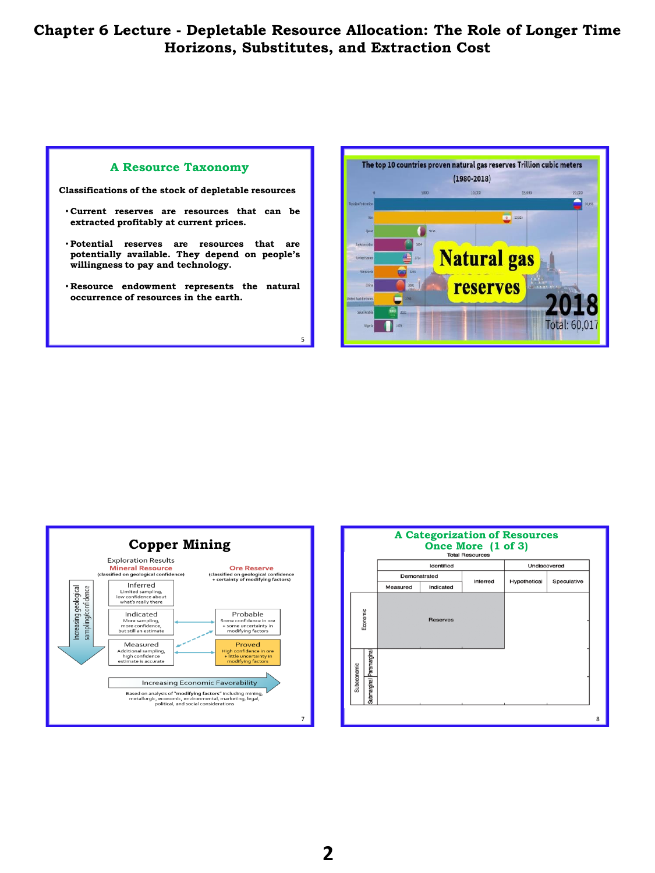5

## **A Resource Taxonomy**

**Classifications of the stock of depletable resources**

- **Current reserves are resources that can be extracted profitably at current prices.**
- **Potential reserves are resources that are potentially available. They depend on people's willingness to pay and technology.**
- **Resource endowment represents the natural occurrence of resources in the earth.**





| <b>A Categorization of Resources</b><br>Once More (1 of 3)<br><b>Total Resources</b> |              |            |          |              |             |   |
|--------------------------------------------------------------------------------------|--------------|------------|----------|--------------|-------------|---|
|                                                                                      |              | Identified |          | Undiscovered |             |   |
|                                                                                      | Demonstrated |            | Inferred |              | Speculative |   |
|                                                                                      | Measured     | Indicated  |          | Hypothetical |             |   |
| Economic                                                                             |              | Reserves   |          |              |             |   |
| Submarginal Paramarginal<br>Subeconomic                                              |              |            |          |              |             |   |
|                                                                                      |              |            |          |              |             | 8 |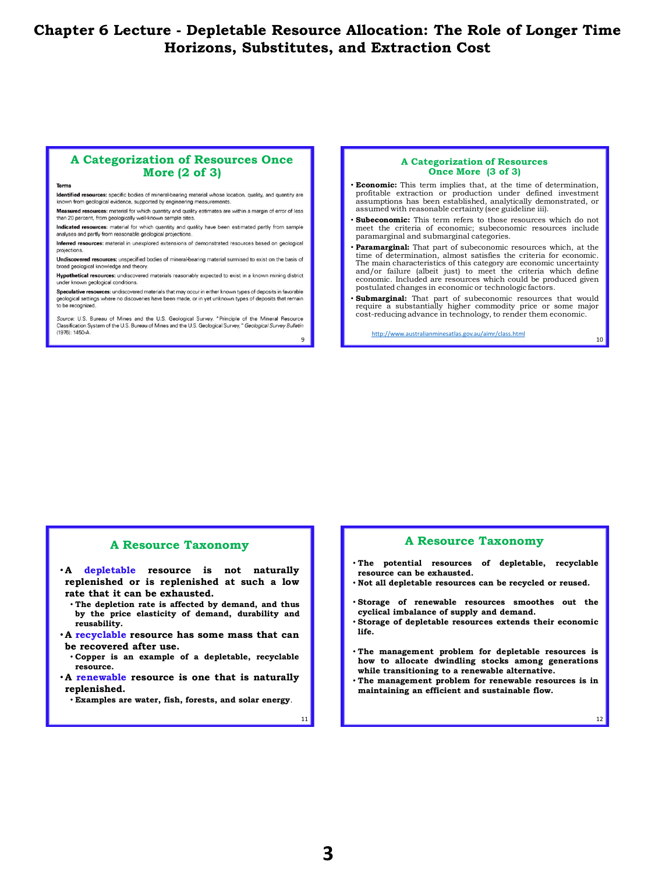## **A Categorization of Resources Once More (2 of 3)**

lentified resources: specific bodies of mineral-bearing material whose location, quality, and quantity are known from geological evidence, supported by engineering measurements.

Measured resources: material for which quantity and quality estimates are within a margin of error of less than 20 percent, from geologically well-known sample sites.

Indicated resources: material for which quantity and quality have been estimated partly from sample analyses and partly from reasonable geological projections

Inferred resources: material in unexplored extensions of demonstrated resources based on geological projections.

Undiscovered resources: unspecified bodies of mineral-bearing material surmised to exist on the basis of broad geological knowledge and theory

Hypothetical resources: undiscovered materials reasonably expected to exist in a known mining district under known geological conditions.

Speculative resources: undiscovered materials that may occur in either known types of deposits in favorable logical settings where no discoveries have been made, or in yet unknown types of deposits that remain to be recognized.

Source: U.S. Bureau of Mines and the U.S. Geological Survey. "Principle of the Mineral Resource<br>Classification System of the U.S. Bureau of Mines and the U.S. Geological Survey, "Geological Survey Bulletin (1976): 1450-A. 9

#### **A Categorization of Resources Once More (3 of 3)**

- **Economic:** This term implies that, at the time of determination, profitable extraction or production under defined investment assumptions has been established, analytically demonstrated, or assumed with reasonable certainty (see guideline iii).
- Subeconomic: This term refers to those resources which do not meet the criteria of economic; subeconomic resources include paramarginal and submarginal categories.
- **Paramarginal:** That part of subeconomic resources which, at the time of determination, almost satisfies the criteria for economic. The main characteristics of this category are economic uncertainty and/or failure (albeit just) to meet the criteria which define economic. Included are resources which could be produced given postulated changes in economic or technologic factors.
- **Submarginal:** That part of subeconomic resources that would require a substantially higher commodity price or some major cost-reducing advance in technology, to render them economic.

<http://www.australianminesatlas.gov.au/aimr/class.html>

10

## **A Resource Taxonomy**

• **A depletable resource is not naturally replenished or is replenished at such a low rate that it can be exhausted.**

- **The depletion rate is affected by demand, and thus by the price elasticity of demand, durability and reusability.**
- **A recyclable resource has some mass that can be recovered after use.**
	- **Copper is an example of a depletable, recyclable resource.**
- **A renewable resource is one that is naturally replenished.**

• **Examples are water, fish, forests, and solar energy**.

#### **A Resource Taxonomy**

- **The potential resources of depletable, recyclable resource can be exhausted.**
- **Not all depletable resources can be recycled or reused.**
- **Storage of renewable resources smoothes out the cyclical imbalance of supply and demand.**
- **Storage of depletable resources extends their economic life.**
- **The management problem for depletable resources is how to allocate dwindling stocks among generations while transitioning to a renewable alternative.**
- **The management problem for renewable resources is in maintaining an efficient and sustainable flow.**

12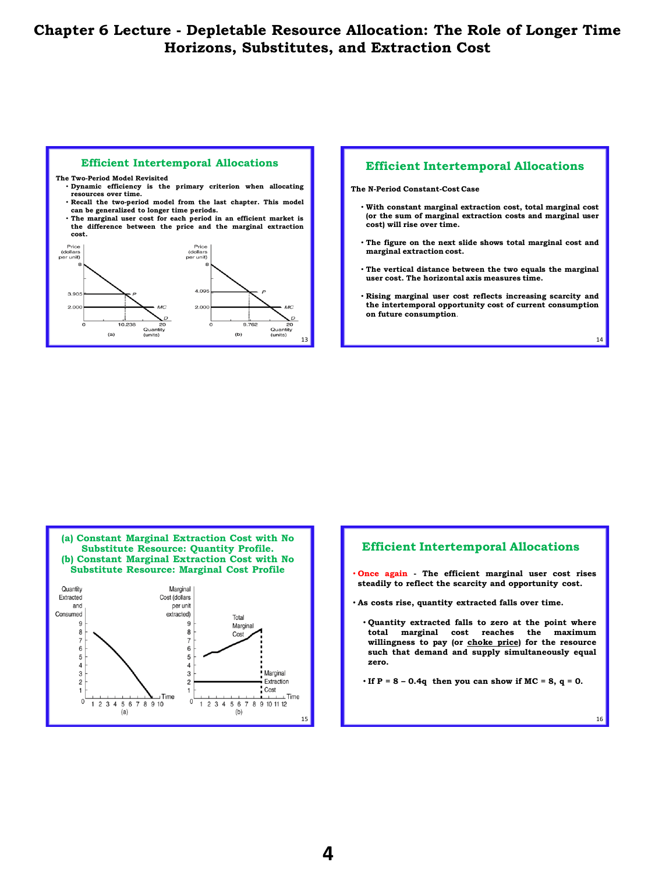



**The N-Period Constant-Cost Case**

- **With constant marginal extraction cost, total marginal cost (or the sum of marginal extraction costs and marginal user cost) will rise over time.**
- **The figure on the next slide shows total marginal cost and marginal extraction cost.**
- **The vertical distance between the two equals the marginal user cost. The horizontal axis measures time.**
- **Rising marginal user cost reflects increasing scarcity and the intertemporal opportunity cost of current consumption on future consumption**.

14



## **Efficient Intertemporal Allocations**

- **Once again - The efficient marginal user cost rises steadily to reflect the scarcity and opportunity cost.**
- **As costs rise, quantity extracted falls over time.**
	- **Quantity extracted falls to zero at the point where total marginal cost reaches the maximum willingness to pay (or choke price) for the resource such that demand and supply simultaneously equal zero.**

• **If P = 8 – 0.4q then you can show if MC = 8, q = 0.**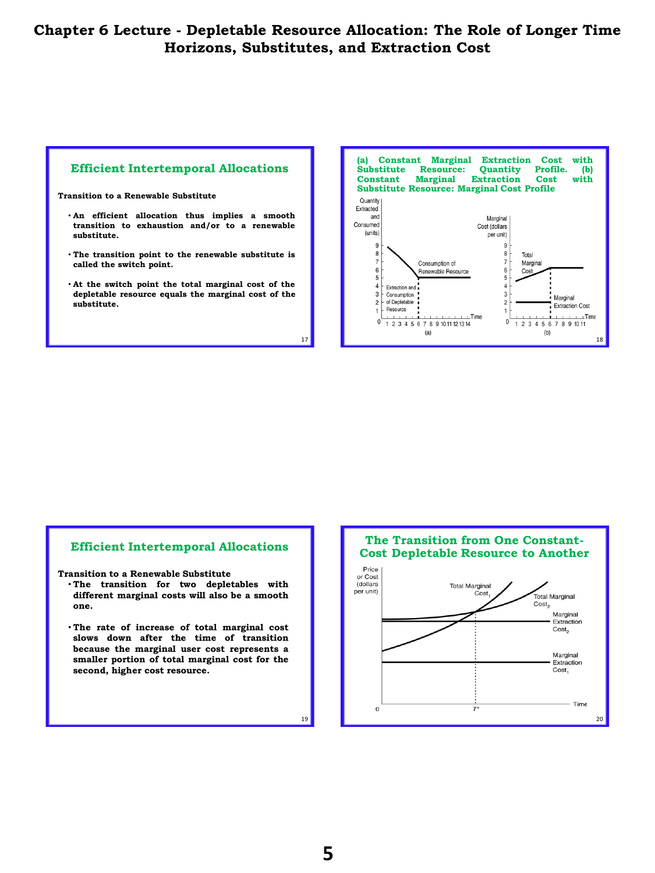



## **Efficient Intertemporal Allocations**

**Transition to a Renewable Substitute**

- **The transition for two depletables with different marginal costs will also be a smooth one.**
- **The rate of increase of total marginal cost slows down after the time of transition because the marginal user cost represents a smaller portion of total marginal cost for the second, higher cost resource.**

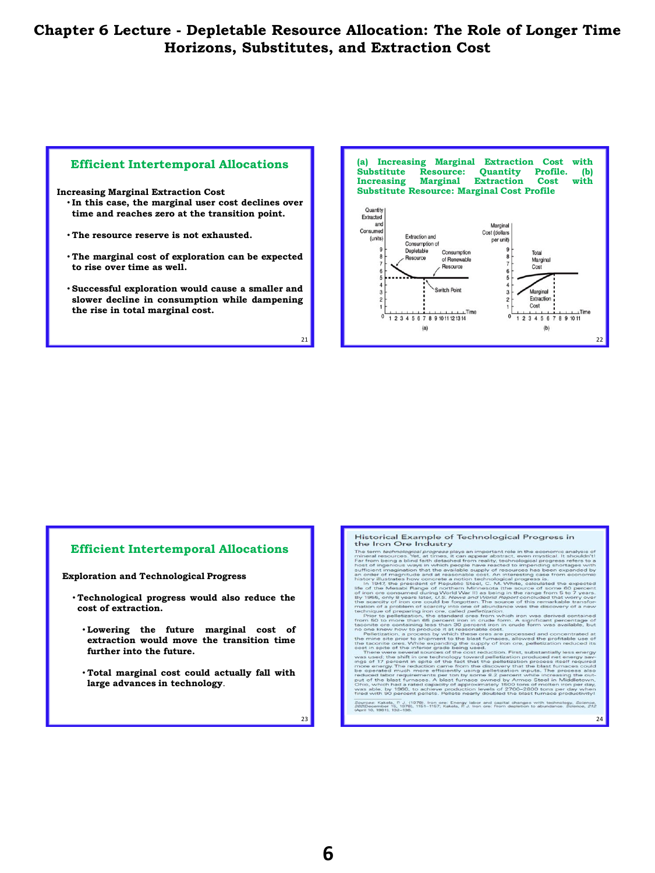

**Increasing Marginal Extraction Cost**

- **In this case, the marginal user cost declines over time and reaches zero at the transition point.**
- **The resource reserve is not exhausted.**
- **The marginal cost of exploration can be expected to rise over time as well.**
- **Successful exploration would cause a smaller and slower decline in consumption while dampening the rise in total marginal cost.**



## **(a) Increasing Marginal Extraction Cost with Substitute Resource: Quantity Profile. (b) Increasing Marginal Extraction Cost with Substitute Resource: Marginal Cost Profile**



#### **Efficient Intertemporal Allocations**

**Exploration and Technological Progress**

- **Technological progress would also reduce the cost of extraction.**
	- **Lowering the future marginal cost of extraction would move the transition time further into the future.**
	- **Total marginal cost could actually fall with large advances in technology**.

Historical Example of Technological Progress in the Iron Ore Industry

**THISTORICAL EXAMPLE OF TECHNOLOGICAL Progress in**<br> **THE Tron Cre Inclustry**<br>
The term dechodogical Progress and inspectation in the economic consistence of the second information and the economic manipulation in the econo

- 
- 
- 

Kakela, P. J. (1978). Iron ore: Energy labor and capital changes with techno<br>ember 15, 1979), 1151–1157; Kakela, P. J. Iron ore: From depletion to abundance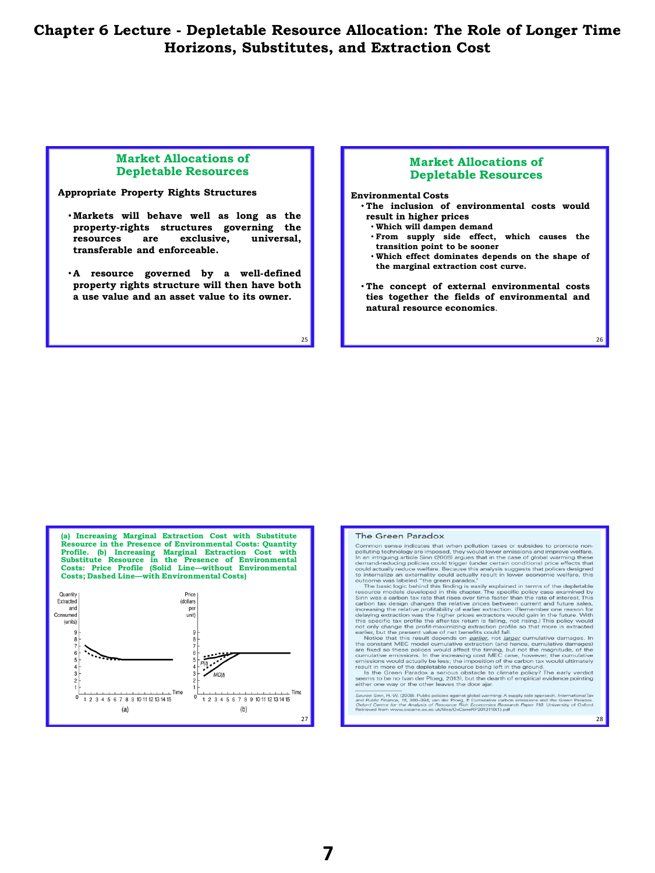25

## **Market Allocations of Depletable Resources**

#### **Appropriate Property Rights Structures**

- **Markets will behave well as long as the property-rights structures governing the resources are exclusive, universal, transferable and enforceable.**
- **A resource governed by a well-defined property rights structure will then have both a use value and an asset value to its owner.**

## **Market Allocations of Depletable Resources**

#### **Environmental Costs**

- **The inclusion of environmental costs would result in higher prices**
	- **Which will dampen demand**
	- **From supply side effect, which causes the transition point to be sooner**
	- **Which effect dominates depends on the shape of the marginal extraction cost curve.**
- **The concept of external environmental costs ties together the fields of environmental and natural resource economics**.

**(a) Increasing Marginal Extraction Cost with Substitute Resource in the Presence of Environmental Costs: Quantity Profile. (b) Increasing Marginal Extraction Cost with Substitute Resource in the Presence of Environmental Costs: Price Profile (Solid Line—without Environmental Costs; Dashed Line—with Environmental Costs)**



#### The Green Paradox

The GTERTICATE Common sense indicates that when pollution taxes or subsides to promote no-<br>Common sense indicates that when pollution taxes or subsides to promote no-<br>polluting technology are imposed, they would lower emis

increasing the relative profitability of earlier extention. (Remember one reason for delaying extraction was the higher prices extractors would gain in the future. With this specific tax profit en after-tax return is fall

u*rce: Sinn,* H.-W. (2008). Public policies against global warming: A supply side approach. *International* Tax<br>*A Public Finance, 15, 390–394; van der Pioog, F. Cumulative carbon emissions and the Green Paradox.*<br>*Iford C* 

28